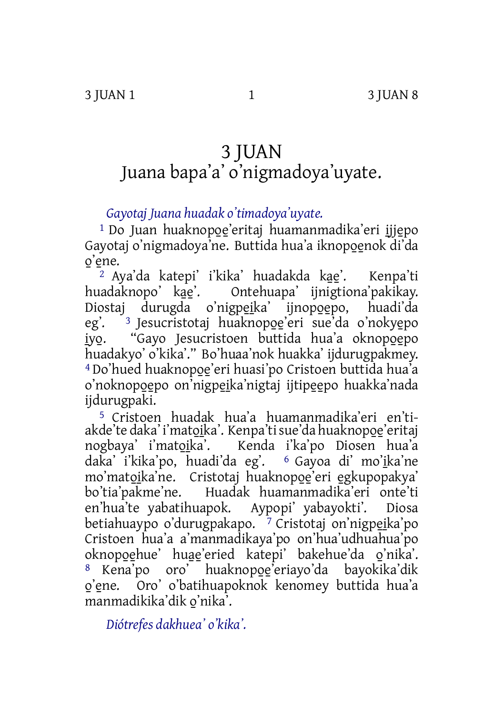## 3 JUAN Juana bapa'a' o'nigmadoya'uyate.

*Gayotaj Juana huadak o'timadoya'uyate.*

<sup>1</sup> Do Juan huaknopoe'eritaj huamanmadika'eri ijjepo Gayotaj o'nigmadoya'ne. Buttida hua'a iknopoenok di'da o'ene.

<sup>2</sup> Aya'da katepi' i'kika' huadakda kae'. Kenpa'ti huadaknopo' kae'. Ontehuapa' ijnigtiona'pakikav. Ontehuapa' ijnigtiona'pakikay. Diostaj durugda o'nigpeika' ijnopoepo, huadi'da eg'. <sup>3</sup> Jesucristotaj huaknopoe'eri sue'da o'nokyepo iyo. "Gayo Jesucristoen buttida hua'a oknopoepo huadakyo' o'kika'." Bo'huaa'nok huakka' ijdurugpakmey. 4 Do'hued huaknopo̱e̱'eri huasi'po Cristoen buttida hua'a o'noknopoepo on'nigpeika'nigtaj ijtipeepo huakka'nada ijdurugpaki.

5 Cristoen huadak hua'a huamanmadika'eri en'tiakde'te daka' i'matoika'. Kenpa'ti sue'da huaknopoe'eritaj nogbaya' i'matoika'. Kenda i'ka'po Diosen hua'a daka' i'kika'po, huadi'da eg'. <sup>6</sup> Gayoa di' mo'ika'ne mo'matoika'ne. Cristotaj huaknopoe'eri egkupopakya' bo'tia'pakme'ne. Huadak huamanmadika'eri onte'ti en'hua'te yabatihuapok. Aypopi' yabayokti'. Diosa betiahuaypo o'durugpakapo.  $\frac{7}{1}$  Cristotaj on'nigpeika'po Cristoen hua'a a'manmadikaya'po on'hua'udhuahua'po oknopo̱e̱hue' hua̱e̱'eried katepi' bakehue'da o̱'nika'. 8 Kena'po oro' huaknopoe'eriayo'da bayokika'dik o̱'e̱ne. Oro' o'batihuapoknok kenomey buttida hua'a manmadikika'dik o̱'nika'.

*Diótrefes dakhuea' o'kika'.*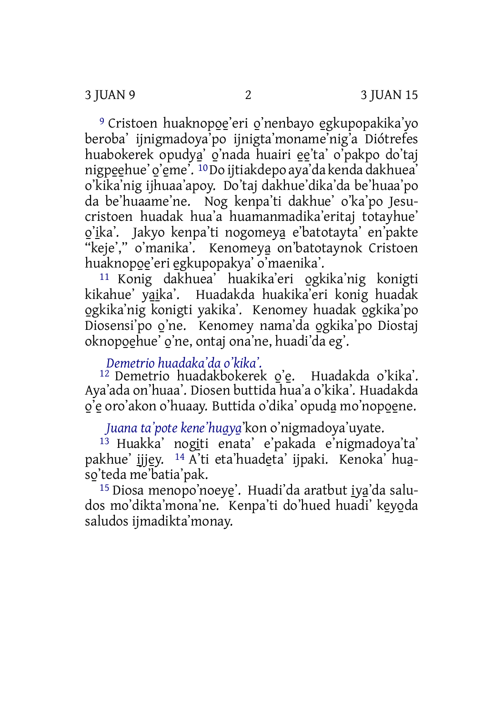<sup>9</sup> Cristoen huaknopoe'eri o'nenbayo egkupopakika'yo beroba' ijnigmadoya'po ijnigta'moname'nig'a Diótrefes huabokerek opudya̱' o̱'nada huairi e̱e̱'ta' o'pakpo do'taj nigpeehue' o'eme'. <sup>10</sup>Do ijtiakdepo aya'da kenda dakhuea' o'kika'nig ijhuaa'apoy. Do'taj dakhue'dika'da be'huaa'po da be'huaame'ne. Nog kenpa'ti dakhue' o'ka'po Jesucristoen huadak hua'a huamanmadika'eritaj totayhue' <u>o'i</u>ka'. Jakyo kenpa'ti nogomey<u>a</u> e'batotayta' en'pakte "keje'," o'manika'. Kenomeya̱on'batotaynok Cristoen huaknopoe'eri egkupopakya' o'maenika'.

11 Konig dakhuea' huakika'eri o̱gkika'nig konigti kikahue' yaika'. Huadakda huakika'eri konig huadak o̱gkika'nig konigti yakika'. Kenomey huadak o̱gkika'po Diosensi'po o'ne. Kenomey nama'da ogkika'po Diostaj oknopo̱e̱hue' o̱'ne, ontaj ona'ne, huadi'da eg'.

## *Demetrio huadaka'da o'kika'.*

<sup>12</sup> Demetrio huadakbokerek o'e. Huadakda o'kika'. Aya'ada on'huaa'. Diosen buttida hua'a o'kika'. Huadakda o'e oro'akon o'huaay. Buttida o'dika' opuda mo'nopoene.

*Juana ta'pote kene'hua̱ya̱*'kon o'nigmadoya'uyate.

<sup>13</sup> Huakka' nogiti enata' e'pakada e'nigmadoya'ta' pakhue' ijjey. <sup>14</sup> A'ti eta'huadeta' ijpaki. Kenoka' huaso̱'teda me'batia'pak.

<sup>15</sup> Diosa menopo'noeye'. Huadi'da aratbut iya'da saludos mo'dikta'mona'ne. Kenpa'ti do'hued huadi' keyoda saludos ijmadikta'monay.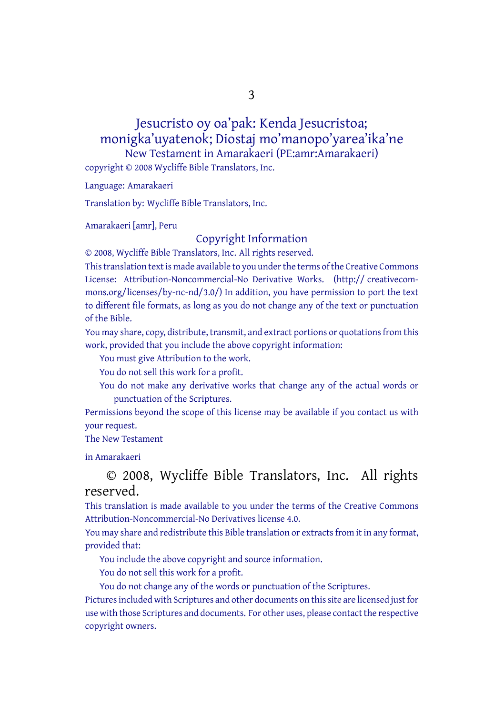3

Jesucristo oy oa'pak: Kenda Jesucristoa; monigka'uyatenok; Diostaj mo'manopo'yarea'ika'ne New Testament in Amarakaeri (PE:amr:Amarakaeri) copyright © 2008 Wycliffe Bible Translators, Inc.

Language: Amarakaeri

Translation by: Wycliffe Bible Translators, Inc.

Amarakaeri [amr], Peru

## Copyright Information

© 2008, Wycliffe Bible Translators, Inc. All rights reserved.

This translation text is made available to you under the terms of the Creative [Commons](http://creativecommons.org/licenses/by-nc-nd/4.0/) License: [Attribution-Noncommercial-No](http://creativecommons.org/licenses/by-nc-nd/4.0/) Derivative Works. (http:// creativecommons.org/licenses/by-nc-nd/3.0/) In addition, you have permission to port the text to different file formats, as long as you do not change any of the text or punctuation of the Bible.

You may share, copy, distribute, transmit, and extract portions or quotations from this work, provided that you include the above copyright information:

You must give Attribution to the work.

You do not sell this work for a profit.

You do not make any derivative works that change any of the actual words or punctuation of the Scriptures.

Permissions beyond the scope of this license may be available if you contact us with your request.

The New Testament

in Amarakaeri

## © 2008, Wycliffe Bible Translators, Inc. All rights reserved.

This translation is made available to you under the terms of the Creative Commons Attribution-Noncommercial-No Derivatives license 4.0.

You may share and redistribute this Bible translation or extracts from it in any format, provided that:

You include the above copyright and source information.

You do not sell this work for a profit.

You do not change any of the words or punctuation of the Scriptures.

Pictures included with Scriptures and other documents on this site are licensed just for use with those Scriptures and documents. For other uses, please contact the respective copyright owners.